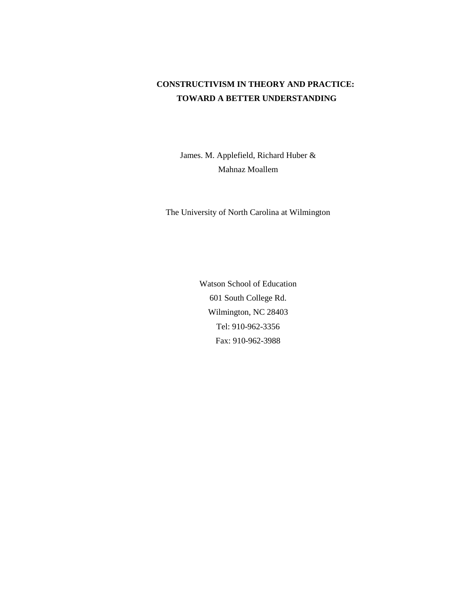## **CONSTRUCTIVISM IN THEORY AND PRACTICE: TOWARD A BETTER UNDERSTANDING**

James. M. Applefield, Richard Huber & Mahnaz Moallem

The University of North Carolina at Wilmington

Watson School of Education 601 South College Rd. Wilmington, NC 28403 Tel: 910-962-3356 Fax: 910-962-3988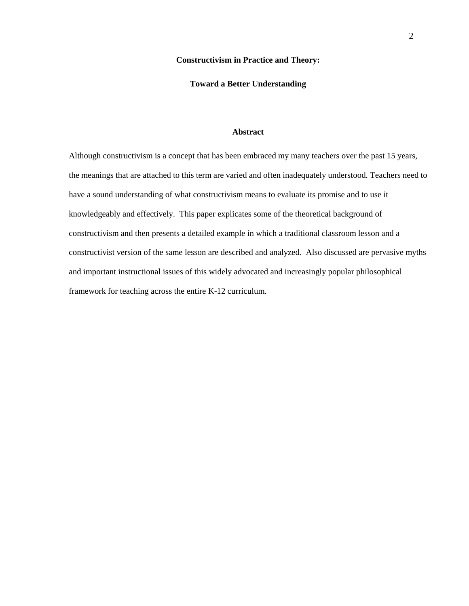### **Constructivism in Practice and Theory:**

## **Toward a Better Understanding**

## **Abstract**

Although constructivism is a concept that has been embraced my many teachers over the past 15 years, the meanings that are attached to this term are varied and often inadequately understood. Teachers need to have a sound understanding of what constructivism means to evaluate its promise and to use it knowledgeably and effectively. This paper explicates some of the theoretical background of constructivism and then presents a detailed example in which a traditional classroom lesson and a constructivist version of the same lesson are described and analyzed. Also discussed are pervasive myths and important instructional issues of this widely advocated and increasingly popular philosophical framework for teaching across the entire K-12 curriculum.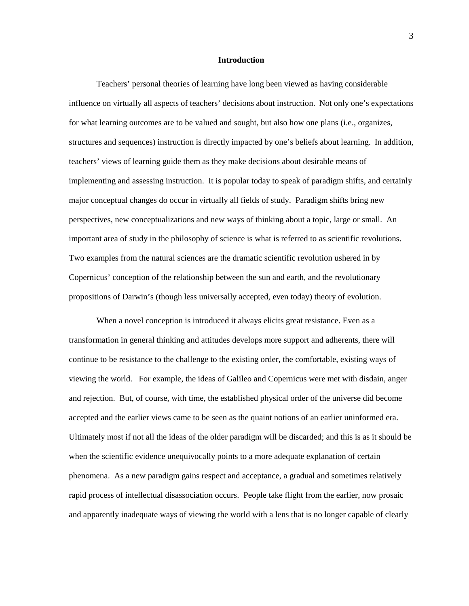### **Introduction**

 Teachers' personal theories of learning have long been viewed as having considerable influence on virtually all aspects of teachers' decisions about instruction. Not only one's expectations for what learning outcomes are to be valued and sought, but also how one plans (i.e., organizes, structures and sequences) instruction is directly impacted by one's beliefs about learning. In addition, teachers' views of learning guide them as they make decisions about desirable means of implementing and assessing instruction. It is popular today to speak of paradigm shifts, and certainly major conceptual changes do occur in virtually all fields of study. Paradigm shifts bring new perspectives, new conceptualizations and new ways of thinking about a topic, large or small. An important area of study in the philosophy of science is what is referred to as scientific revolutions. Two examples from the natural sciences are the dramatic scientific revolution ushered in by Copernicus' conception of the relationship between the sun and earth, and the revolutionary propositions of Darwin's (though less universally accepted, even today) theory of evolution.

When a novel conception is introduced it always elicits great resistance. Even as a transformation in general thinking and attitudes develops more support and adherents, there will continue to be resistance to the challenge to the existing order, the comfortable, existing ways of viewing the world. For example, the ideas of Galileo and Copernicus were met with disdain, anger and rejection. But, of course, with time, the established physical order of the universe did become accepted and the earlier views came to be seen as the quaint notions of an earlier uninformed era. Ultimately most if not all the ideas of the older paradigm will be discarded; and this is as it should be when the scientific evidence unequivocally points to a more adequate explanation of certain phenomena. As a new paradigm gains respect and acceptance, a gradual and sometimes relatively rapid process of intellectual disassociation occurs. People take flight from the earlier, now prosaic and apparently inadequate ways of viewing the world with a lens that is no longer capable of clearly

3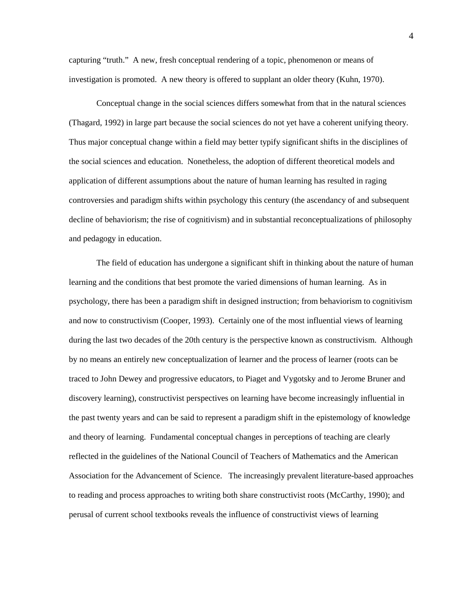capturing "truth." A new, fresh conceptual rendering of a topic, phenomenon or means of investigation is promoted. A new theory is offered to supplant an older theory (Kuhn, 1970).

 Conceptual change in the social sciences differs somewhat from that in the natural sciences (Thagard, 1992) in large part because the social sciences do not yet have a coherent unifying theory. Thus major conceptual change within a field may better typify significant shifts in the disciplines of the social sciences and education. Nonetheless, the adoption of different theoretical models and application of different assumptions about the nature of human learning has resulted in raging controversies and paradigm shifts within psychology this century (the ascendancy of and subsequent decline of behaviorism; the rise of cognitivism) and in substantial reconceptualizations of philosophy and pedagogy in education.

 The field of education has undergone a significant shift in thinking about the nature of human learning and the conditions that best promote the varied dimensions of human learning. As in psychology, there has been a paradigm shift in designed instruction; from behaviorism to cognitivism and now to constructivism (Cooper, 1993). Certainly one of the most influential views of learning during the last two decades of the 20th century is the perspective known as constructivism. Although by no means an entirely new conceptualization of learner and the process of learner (roots can be traced to John Dewey and progressive educators, to Piaget and Vygotsky and to Jerome Bruner and discovery learning), constructivist perspectives on learning have become increasingly influential in the past twenty years and can be said to represent a paradigm shift in the epistemology of knowledge and theory of learning. Fundamental conceptual changes in perceptions of teaching are clearly reflected in the guidelines of the National Council of Teachers of Mathematics and the American Association for the Advancement of Science. The increasingly prevalent literature-based approaches to reading and process approaches to writing both share constructivist roots (McCarthy, 1990); and perusal of current school textbooks reveals the influence of constructivist views of learning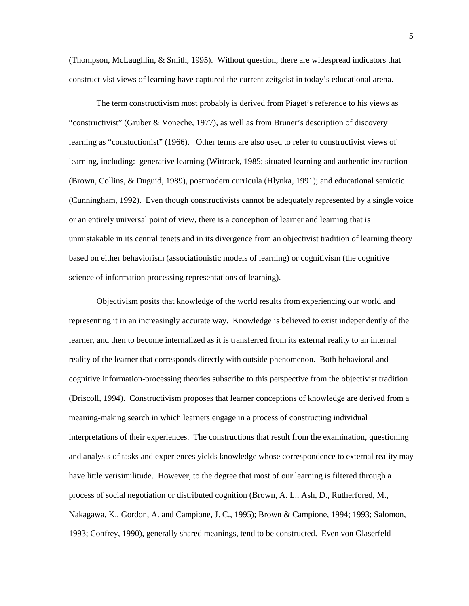(Thompson, McLaughlin, & Smith, 1995). Without question, there are widespread indicators that constructivist views of learning have captured the current zeitgeist in today's educational arena.

 The term constructivism most probably is derived from Piaget's reference to his views as "constructivist" (Gruber & Voneche, 1977), as well as from Bruner's description of discovery learning as "constuctionist" (1966). Other terms are also used to refer to constructivist views of learning, including: generative learning (Wittrock, 1985; situated learning and authentic instruction (Brown, Collins, & Duguid, 1989), postmodern curricula (Hlynka, 1991); and educational semiotic (Cunningham, 1992). Even though constructivists cannot be adequately represented by a single voice or an entirely universal point of view, there is a conception of learner and learning that is unmistakable in its central tenets and in its divergence from an objectivist tradition of learning theory based on either behaviorism (associationistic models of learning) or cognitivism (the cognitive science of information processing representations of learning).

 Objectivism posits that knowledge of the world results from experiencing our world and representing it in an increasingly accurate way. Knowledge is believed to exist independently of the learner, and then to become internalized as it is transferred from its external reality to an internal reality of the learner that corresponds directly with outside phenomenon. Both behavioral and cognitive information-processing theories subscribe to this perspective from the objectivist tradition (Driscoll, 1994). Constructivism proposes that learner conceptions of knowledge are derived from a meaning-making search in which learners engage in a process of constructing individual interpretations of their experiences. The constructions that result from the examination, questioning and analysis of tasks and experiences yields knowledge whose correspondence to external reality may have little verisimilitude. However, to the degree that most of our learning is filtered through a process of social negotiation or distributed cognition (Brown, A. L., Ash, D., Rutherfored, M., Nakagawa, K., Gordon, A. and Campione, J. C., 1995); Brown & Campione, 1994; 1993; Salomon, 1993; Confrey, 1990), generally shared meanings, tend to be constructed. Even von Glaserfeld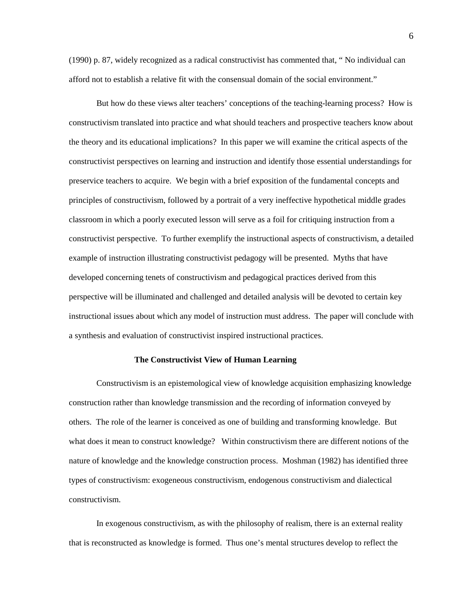(1990) p. 87, widely recognized as a radical constructivist has commented that, " No individual can afford not to establish a relative fit with the consensual domain of the social environment."

 But how do these views alter teachers' conceptions of the teaching-learning process? How is constructivism translated into practice and what should teachers and prospective teachers know about the theory and its educational implications? In this paper we will examine the critical aspects of the constructivist perspectives on learning and instruction and identify those essential understandings for preservice teachers to acquire. We begin with a brief exposition of the fundamental concepts and principles of constructivism, followed by a portrait of a very ineffective hypothetical middle grades classroom in which a poorly executed lesson will serve as a foil for critiquing instruction from a constructivist perspective. To further exemplify the instructional aspects of constructivism, a detailed example of instruction illustrating constructivist pedagogy will be presented. Myths that have developed concerning tenets of constructivism and pedagogical practices derived from this perspective will be illuminated and challenged and detailed analysis will be devoted to certain key instructional issues about which any model of instruction must address. The paper will conclude with a synthesis and evaluation of constructivist inspired instructional practices.

## **The Constructivist View of Human Learning**

 Constructivism is an epistemological view of knowledge acquisition emphasizing knowledge construction rather than knowledge transmission and the recording of information conveyed by others. The role of the learner is conceived as one of building and transforming knowledge. But what does it mean to construct knowledge? Within constructivism there are different notions of the nature of knowledge and the knowledge construction process. Moshman (1982) has identified three types of constructivism: exogeneous constructivism, endogenous constructivism and dialectical constructivism.

 In exogenous constructivism, as with the philosophy of realism, there is an external reality that is reconstructed as knowledge is formed. Thus one's mental structures develop to reflect the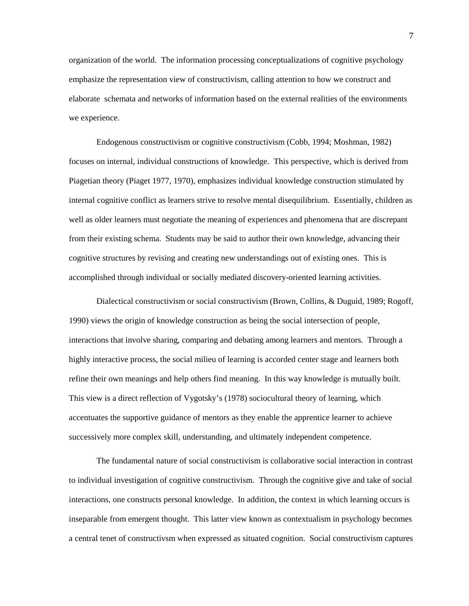organization of the world. The information processing conceptualizations of cognitive psychology emphasize the representation view of constructivism, calling attention to how we construct and elaborate schemata and networks of information based on the external realities of the environments we experience.

 Endogenous constructivism or cognitive constructivism (Cobb, 1994; Moshman, 1982) focuses on internal, individual constructions of knowledge. This perspective, which is derived from Piagetian theory (Piaget 1977, 1970), emphasizes individual knowledge construction stimulated by internal cognitive conflict as learners strive to resolve mental disequilibrium. Essentially, children as well as older learners must negotiate the meaning of experiences and phenomena that are discrepant from their existing schema. Students may be said to author their own knowledge, advancing their cognitive structures by revising and creating new understandings out of existing ones. This is accomplished through individual or socially mediated discovery-oriented learning activities.

 Dialectical constructivism or social constructivism (Brown, Collins, & Duguid, 1989; Rogoff, 1990) views the origin of knowledge construction as being the social intersection of people, interactions that involve sharing, comparing and debating among learners and mentors. Through a highly interactive process, the social milieu of learning is accorded center stage and learners both refine their own meanings and help others find meaning. In this way knowledge is mutually built. This view is a direct reflection of Vygotsky's (1978) sociocultural theory of learning, which accentuates the supportive guidance of mentors as they enable the apprentice learner to achieve successively more complex skill, understanding, and ultimately independent competence.

 The fundamental nature of social constructivism is collaborative social interaction in contrast to individual investigation of cognitive constructivism. Through the cognitive give and take of social interactions, one constructs personal knowledge. In addition, the context in which learning occurs is inseparable from emergent thought. This latter view known as contextualism in psychology becomes a central tenet of constructivsm when expressed as situated cognition. Social constructivism captures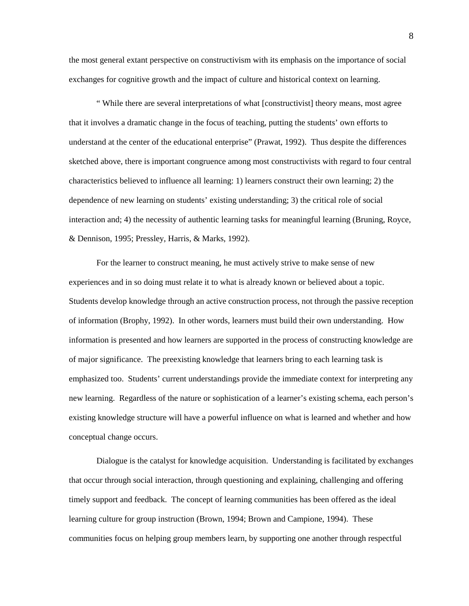the most general extant perspective on constructivism with its emphasis on the importance of social exchanges for cognitive growth and the impact of culture and historical context on learning.

 " While there are several interpretations of what [constructivist] theory means, most agree that it involves a dramatic change in the focus of teaching, putting the students' own efforts to understand at the center of the educational enterprise" (Prawat, 1992). Thus despite the differences sketched above, there is important congruence among most constructivists with regard to four central characteristics believed to influence all learning: 1) learners construct their own learning; 2) the dependence of new learning on students' existing understanding; 3) the critical role of social interaction and; 4) the necessity of authentic learning tasks for meaningful learning (Bruning, Royce, & Dennison, 1995; Pressley, Harris, & Marks, 1992).

 For the learner to construct meaning, he must actively strive to make sense of new experiences and in so doing must relate it to what is already known or believed about a topic. Students develop knowledge through an active construction process, not through the passive reception of information (Brophy, 1992). In other words, learners must build their own understanding. How information is presented and how learners are supported in the process of constructing knowledge are of major significance. The preexisting knowledge that learners bring to each learning task is emphasized too. Students' current understandings provide the immediate context for interpreting any new learning. Regardless of the nature or sophistication of a learner's existing schema, each person's existing knowledge structure will have a powerful influence on what is learned and whether and how conceptual change occurs.

 Dialogue is the catalyst for knowledge acquisition. Understanding is facilitated by exchanges that occur through social interaction, through questioning and explaining, challenging and offering timely support and feedback. The concept of learning communities has been offered as the ideal learning culture for group instruction (Brown, 1994; Brown and Campione, 1994). These communities focus on helping group members learn, by supporting one another through respectful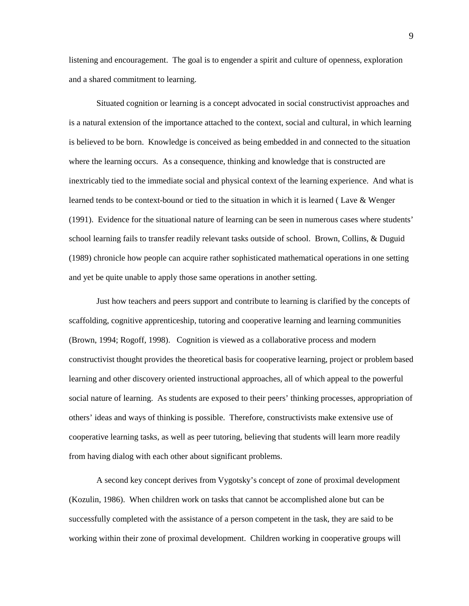listening and encouragement. The goal is to engender a spirit and culture of openness, exploration and a shared commitment to learning.

 Situated cognition or learning is a concept advocated in social constructivist approaches and is a natural extension of the importance attached to the context, social and cultural, in which learning is believed to be born. Knowledge is conceived as being embedded in and connected to the situation where the learning occurs. As a consequence, thinking and knowledge that is constructed are inextricably tied to the immediate social and physical context of the learning experience. And what is learned tends to be context-bound or tied to the situation in which it is learned ( Lave & Wenger (1991). Evidence for the situational nature of learning can be seen in numerous cases where students' school learning fails to transfer readily relevant tasks outside of school. Brown, Collins, & Duguid (1989) chronicle how people can acquire rather sophisticated mathematical operations in one setting and yet be quite unable to apply those same operations in another setting.

 Just how teachers and peers support and contribute to learning is clarified by the concepts of scaffolding, cognitive apprenticeship, tutoring and cooperative learning and learning communities (Brown, 1994; Rogoff, 1998). Cognition is viewed as a collaborative process and modern constructivist thought provides the theoretical basis for cooperative learning, project or problem based learning and other discovery oriented instructional approaches, all of which appeal to the powerful social nature of learning. As students are exposed to their peers' thinking processes, appropriation of others' ideas and ways of thinking is possible. Therefore, constructivists make extensive use of cooperative learning tasks, as well as peer tutoring, believing that students will learn more readily from having dialog with each other about significant problems.

 A second key concept derives from Vygotsky's concept of zone of proximal development (Kozulin, 1986). When children work on tasks that cannot be accomplished alone but can be successfully completed with the assistance of a person competent in the task, they are said to be working within their zone of proximal development. Children working in cooperative groups will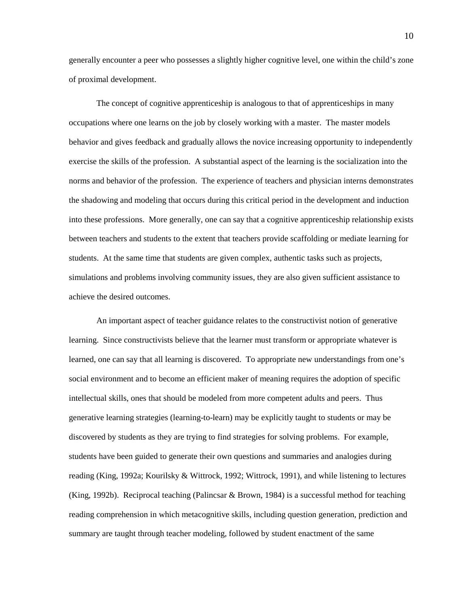generally encounter a peer who possesses a slightly higher cognitive level, one within the child's zone of proximal development.

 The concept of cognitive apprenticeship is analogous to that of apprenticeships in many occupations where one learns on the job by closely working with a master. The master models behavior and gives feedback and gradually allows the novice increasing opportunity to independently exercise the skills of the profession. A substantial aspect of the learning is the socialization into the norms and behavior of the profession. The experience of teachers and physician interns demonstrates the shadowing and modeling that occurs during this critical period in the development and induction into these professions. More generally, one can say that a cognitive apprenticeship relationship exists between teachers and students to the extent that teachers provide scaffolding or mediate learning for students. At the same time that students are given complex, authentic tasks such as projects, simulations and problems involving community issues, they are also given sufficient assistance to achieve the desired outcomes.

 An important aspect of teacher guidance relates to the constructivist notion of generative learning. Since constructivists believe that the learner must transform or appropriate whatever is learned, one can say that all learning is discovered. To appropriate new understandings from one's social environment and to become an efficient maker of meaning requires the adoption of specific intellectual skills, ones that should be modeled from more competent adults and peers. Thus generative learning strategies (learning-to-learn) may be explicitly taught to students or may be discovered by students as they are trying to find strategies for solving problems. For example, students have been guided to generate their own questions and summaries and analogies during reading (King, 1992a; Kourilsky & Wittrock, 1992; Wittrock, 1991), and while listening to lectures (King, 1992b). Reciprocal teaching (Palincsar & Brown, 1984) is a successful method for teaching reading comprehension in which metacognitive skills, including question generation, prediction and summary are taught through teacher modeling, followed by student enactment of the same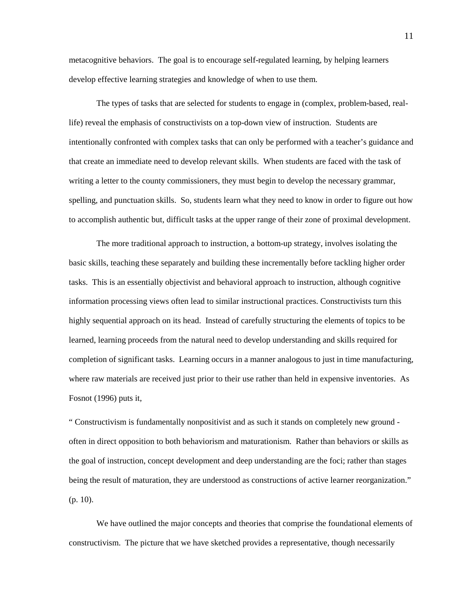metacognitive behaviors. The goal is to encourage self-regulated learning, by helping learners develop effective learning strategies and knowledge of when to use them.

 The types of tasks that are selected for students to engage in (complex, problem-based, reallife) reveal the emphasis of constructivists on a top-down view of instruction. Students are intentionally confronted with complex tasks that can only be performed with a teacher's guidance and that create an immediate need to develop relevant skills. When students are faced with the task of writing a letter to the county commissioners, they must begin to develop the necessary grammar, spelling, and punctuation skills. So, students learn what they need to know in order to figure out how to accomplish authentic but, difficult tasks at the upper range of their zone of proximal development.

 The more traditional approach to instruction, a bottom-up strategy, involves isolating the basic skills, teaching these separately and building these incrementally before tackling higher order tasks. This is an essentially objectivist and behavioral approach to instruction, although cognitive information processing views often lead to similar instructional practices. Constructivists turn this highly sequential approach on its head. Instead of carefully structuring the elements of topics to be learned, learning proceeds from the natural need to develop understanding and skills required for completion of significant tasks. Learning occurs in a manner analogous to just in time manufacturing, where raw materials are received just prior to their use rather than held in expensive inventories. As Fosnot (1996) puts it,

" Constructivism is fundamentally nonpositivist and as such it stands on completely new ground often in direct opposition to both behaviorism and maturationism. Rather than behaviors or skills as the goal of instruction, concept development and deep understanding are the foci; rather than stages being the result of maturation, they are understood as constructions of active learner reorganization." (p. 10).

We have outlined the major concepts and theories that comprise the foundational elements of constructivism. The picture that we have sketched provides a representative, though necessarily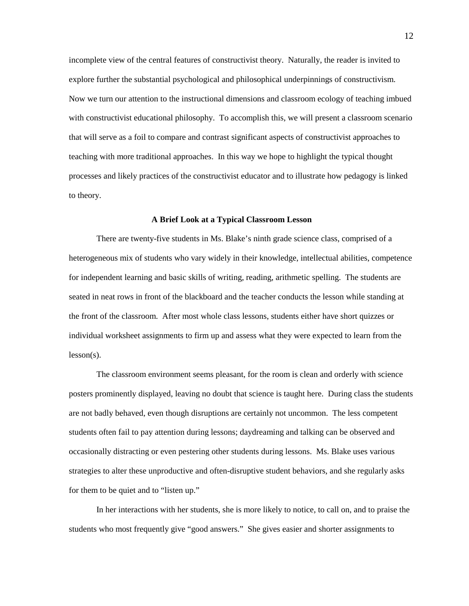incomplete view of the central features of constructivist theory. Naturally, the reader is invited to explore further the substantial psychological and philosophical underpinnings of constructivism. Now we turn our attention to the instructional dimensions and classroom ecology of teaching imbued with constructivist educational philosophy. To accomplish this, we will present a classroom scenario that will serve as a foil to compare and contrast significant aspects of constructivist approaches to teaching with more traditional approaches. In this way we hope to highlight the typical thought processes and likely practices of the constructivist educator and to illustrate how pedagogy is linked to theory.

### **A Brief Look at a Typical Classroom Lesson**

There are twenty-five students in Ms. Blake's ninth grade science class, comprised of a heterogeneous mix of students who vary widely in their knowledge, intellectual abilities, competence for independent learning and basic skills of writing, reading, arithmetic spelling. The students are seated in neat rows in front of the blackboard and the teacher conducts the lesson while standing at the front of the classroom. After most whole class lessons, students either have short quizzes or individual worksheet assignments to firm up and assess what they were expected to learn from the lesson(s).

The classroom environment seems pleasant, for the room is clean and orderly with science posters prominently displayed, leaving no doubt that science is taught here. During class the students are not badly behaved, even though disruptions are certainly not uncommon. The less competent students often fail to pay attention during lessons; daydreaming and talking can be observed and occasionally distracting or even pestering other students during lessons. Ms. Blake uses various strategies to alter these unproductive and often-disruptive student behaviors, and she regularly asks for them to be quiet and to "listen up."

In her interactions with her students, she is more likely to notice, to call on, and to praise the students who most frequently give "good answers." She gives easier and shorter assignments to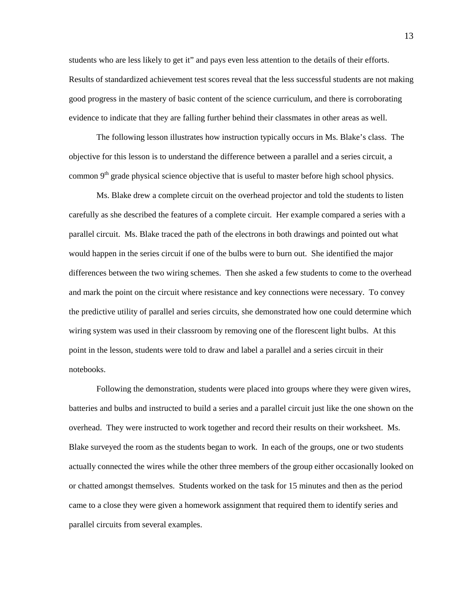students who are less likely to get it" and pays even less attention to the details of their efforts. Results of standardized achievement test scores reveal that the less successful students are not making good progress in the mastery of basic content of the science curriculum, and there is corroborating evidence to indicate that they are falling further behind their classmates in other areas as well.

The following lesson illustrates how instruction typically occurs in Ms. Blake's class. The objective for this lesson is to understand the difference between a parallel and a series circuit, a common  $9<sup>th</sup>$  grade physical science objective that is useful to master before high school physics.

Ms. Blake drew a complete circuit on the overhead projector and told the students to listen carefully as she described the features of a complete circuit. Her example compared a series with a parallel circuit. Ms. Blake traced the path of the electrons in both drawings and pointed out what would happen in the series circuit if one of the bulbs were to burn out. She identified the major differences between the two wiring schemes. Then she asked a few students to come to the overhead and mark the point on the circuit where resistance and key connections were necessary. To convey the predictive utility of parallel and series circuits, she demonstrated how one could determine which wiring system was used in their classroom by removing one of the florescent light bulbs. At this point in the lesson, students were told to draw and label a parallel and a series circuit in their notebooks.

Following the demonstration, students were placed into groups where they were given wires, batteries and bulbs and instructed to build a series and a parallel circuit just like the one shown on the overhead. They were instructed to work together and record their results on their worksheet. Ms. Blake surveyed the room as the students began to work. In each of the groups, one or two students actually connected the wires while the other three members of the group either occasionally looked on or chatted amongst themselves. Students worked on the task for 15 minutes and then as the period came to a close they were given a homework assignment that required them to identify series and parallel circuits from several examples.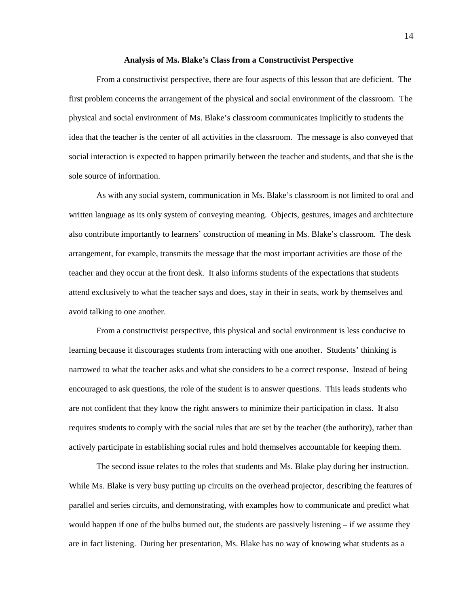#### **Analysis of Ms. Blake's Class from a Constructivist Perspective**

 From a constructivist perspective, there are four aspects of this lesson that are deficient. The first problem concerns the arrangement of the physical and social environment of the classroom. The physical and social environment of Ms. Blake's classroom communicates implicitly to students the idea that the teacher is the center of all activities in the classroom. The message is also conveyed that social interaction is expected to happen primarily between the teacher and students, and that she is the sole source of information.

 As with any social system, communication in Ms. Blake's classroom is not limited to oral and written language as its only system of conveying meaning. Objects, gestures, images and architecture also contribute importantly to learners' construction of meaning in Ms. Blake's classroom. The desk arrangement, for example, transmits the message that the most important activities are those of the teacher and they occur at the front desk. It also informs students of the expectations that students attend exclusively to what the teacher says and does, stay in their in seats, work by themselves and avoid talking to one another.

 From a constructivist perspective, this physical and social environment is less conducive to learning because it discourages students from interacting with one another. Students' thinking is narrowed to what the teacher asks and what she considers to be a correct response. Instead of being encouraged to ask questions, the role of the student is to answer questions. This leads students who are not confident that they know the right answers to minimize their participation in class. It also requires students to comply with the social rules that are set by the teacher (the authority), rather than actively participate in establishing social rules and hold themselves accountable for keeping them.

 The second issue relates to the roles that students and Ms. Blake play during her instruction. While Ms. Blake is very busy putting up circuits on the overhead projector, describing the features of parallel and series circuits, and demonstrating, with examples how to communicate and predict what would happen if one of the bulbs burned out, the students are passively listening – if we assume they are in fact listening. During her presentation, Ms. Blake has no way of knowing what students as a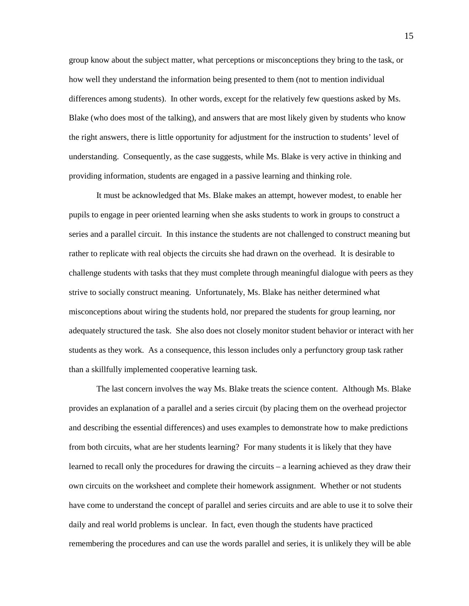group know about the subject matter, what perceptions or misconceptions they bring to the task, or how well they understand the information being presented to them (not to mention individual differences among students). In other words, except for the relatively few questions asked by Ms. Blake (who does most of the talking), and answers that are most likely given by students who know the right answers, there is little opportunity for adjustment for the instruction to students' level of understanding. Consequently, as the case suggests, while Ms. Blake is very active in thinking and providing information, students are engaged in a passive learning and thinking role.

 It must be acknowledged that Ms. Blake makes an attempt, however modest, to enable her pupils to engage in peer oriented learning when she asks students to work in groups to construct a series and a parallel circuit. In this instance the students are not challenged to construct meaning but rather to replicate with real objects the circuits she had drawn on the overhead. It is desirable to challenge students with tasks that they must complete through meaningful dialogue with peers as they strive to socially construct meaning. Unfortunately, Ms. Blake has neither determined what misconceptions about wiring the students hold, nor prepared the students for group learning, nor adequately structured the task. She also does not closely monitor student behavior or interact with her students as they work. As a consequence, this lesson includes only a perfunctory group task rather than a skillfully implemented cooperative learning task.

 The last concern involves the way Ms. Blake treats the science content. Although Ms. Blake provides an explanation of a parallel and a series circuit (by placing them on the overhead projector and describing the essential differences) and uses examples to demonstrate how to make predictions from both circuits, what are her students learning? For many students it is likely that they have learned to recall only the procedures for drawing the circuits – a learning achieved as they draw their own circuits on the worksheet and complete their homework assignment. Whether or not students have come to understand the concept of parallel and series circuits and are able to use it to solve their daily and real world problems is unclear. In fact, even though the students have practiced remembering the procedures and can use the words parallel and series, it is unlikely they will be able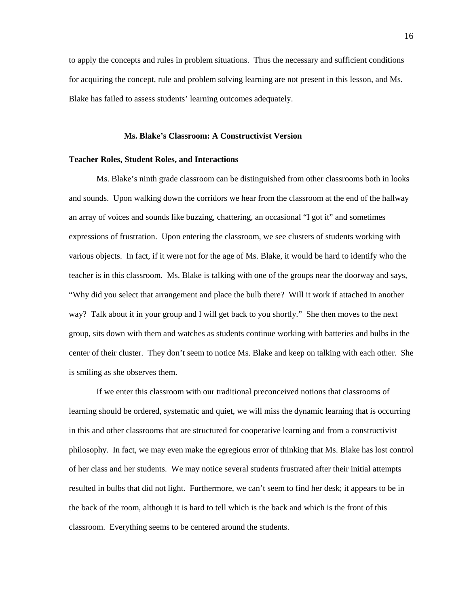to apply the concepts and rules in problem situations. Thus the necessary and sufficient conditions for acquiring the concept, rule and problem solving learning are not present in this lesson, and Ms. Blake has failed to assess students' learning outcomes adequately.

## **Ms. Blake's Classroom: A Constructivist Version**

### **Teacher Roles, Student Roles, and Interactions**

 Ms. Blake's ninth grade classroom can be distinguished from other classrooms both in looks and sounds. Upon walking down the corridors we hear from the classroom at the end of the hallway an array of voices and sounds like buzzing, chattering, an occasional "I got it" and sometimes expressions of frustration. Upon entering the classroom, we see clusters of students working with various objects. In fact, if it were not for the age of Ms. Blake, it would be hard to identify who the teacher is in this classroom. Ms. Blake is talking with one of the groups near the doorway and says, "Why did you select that arrangement and place the bulb there? Will it work if attached in another way? Talk about it in your group and I will get back to you shortly." She then moves to the next group, sits down with them and watches as students continue working with batteries and bulbs in the center of their cluster. They don't seem to notice Ms. Blake and keep on talking with each other. She is smiling as she observes them.

 If we enter this classroom with our traditional preconceived notions that classrooms of learning should be ordered, systematic and quiet, we will miss the dynamic learning that is occurring in this and other classrooms that are structured for cooperative learning and from a constructivist philosophy. In fact, we may even make the egregious error of thinking that Ms. Blake has lost control of her class and her students. We may notice several students frustrated after their initial attempts resulted in bulbs that did not light. Furthermore, we can't seem to find her desk; it appears to be in the back of the room, although it is hard to tell which is the back and which is the front of this classroom. Everything seems to be centered around the students.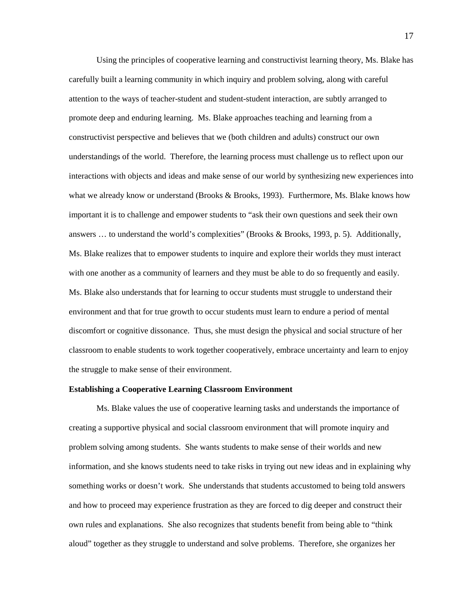Using the principles of cooperative learning and constructivist learning theory, Ms. Blake has carefully built a learning community in which inquiry and problem solving, along with careful attention to the ways of teacher-student and student-student interaction, are subtly arranged to promote deep and enduring learning. Ms. Blake approaches teaching and learning from a constructivist perspective and believes that we (both children and adults) construct our own understandings of the world. Therefore, the learning process must challenge us to reflect upon our interactions with objects and ideas and make sense of our world by synthesizing new experiences into what we already know or understand (Brooks & Brooks, 1993). Furthermore, Ms. Blake knows how important it is to challenge and empower students to "ask their own questions and seek their own answers … to understand the world's complexities" (Brooks & Brooks, 1993, p. 5). Additionally, Ms. Blake realizes that to empower students to inquire and explore their worlds they must interact with one another as a community of learners and they must be able to do so frequently and easily. Ms. Blake also understands that for learning to occur students must struggle to understand their environment and that for true growth to occur students must learn to endure a period of mental discomfort or cognitive dissonance. Thus, she must design the physical and social structure of her classroom to enable students to work together cooperatively, embrace uncertainty and learn to enjoy the struggle to make sense of their environment.

## **Establishing a Cooperative Learning Classroom Environment**

 Ms. Blake values the use of cooperative learning tasks and understands the importance of creating a supportive physical and social classroom environment that will promote inquiry and problem solving among students. She wants students to make sense of their worlds and new information, and she knows students need to take risks in trying out new ideas and in explaining why something works or doesn't work. She understands that students accustomed to being told answers and how to proceed may experience frustration as they are forced to dig deeper and construct their own rules and explanations. She also recognizes that students benefit from being able to "think aloud" together as they struggle to understand and solve problems. Therefore, she organizes her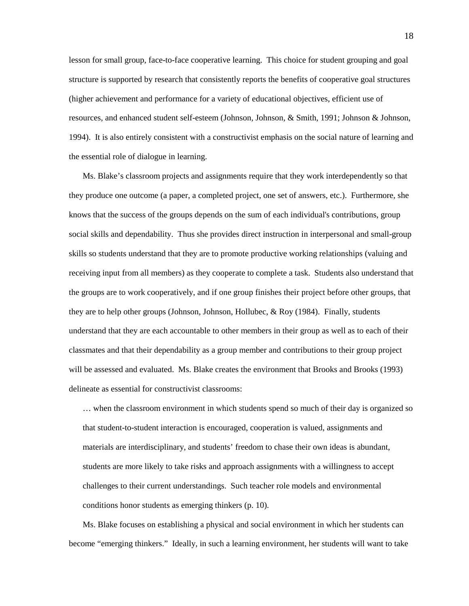lesson for small group, face-to-face cooperative learning. This choice for student grouping and goal structure is supported by research that consistently reports the benefits of cooperative goal structures (higher achievement and performance for a variety of educational objectives, efficient use of resources, and enhanced student self-esteem (Johnson, Johnson, & Smith, 1991; Johnson & Johnson, 1994). It is also entirely consistent with a constructivist emphasis on the social nature of learning and the essential role of dialogue in learning.

Ms. Blake's classroom projects and assignments require that they work interdependently so that they produce one outcome (a paper, a completed project, one set of answers, etc.). Furthermore, she knows that the success of the groups depends on the sum of each individual's contributions, group social skills and dependability. Thus she provides direct instruction in interpersonal and small-group skills so students understand that they are to promote productive working relationships (valuing and receiving input from all members) as they cooperate to complete a task. Students also understand that the groups are to work cooperatively, and if one group finishes their project before other groups, that they are to help other groups (Johnson, Johnson, Hollubec, & Roy (1984). Finally, students understand that they are each accountable to other members in their group as well as to each of their classmates and that their dependability as a group member and contributions to their group project will be assessed and evaluated. Ms. Blake creates the environment that Brooks and Brooks (1993) delineate as essential for constructivist classrooms:

… when the classroom environment in which students spend so much of their day is organized so that student-to-student interaction is encouraged, cooperation is valued, assignments and materials are interdisciplinary, and students' freedom to chase their own ideas is abundant, students are more likely to take risks and approach assignments with a willingness to accept challenges to their current understandings. Such teacher role models and environmental conditions honor students as emerging thinkers (p. 10).

Ms. Blake focuses on establishing a physical and social environment in which her students can become "emerging thinkers." Ideally, in such a learning environment, her students will want to take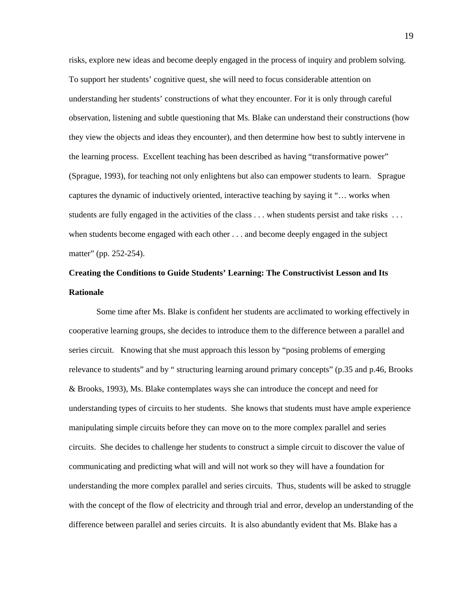risks, explore new ideas and become deeply engaged in the process of inquiry and problem solving. To support her students' cognitive quest, she will need to focus considerable attention on understanding her students' constructions of what they encounter. For it is only through careful observation, listening and subtle questioning that Ms. Blake can understand their constructions (how they view the objects and ideas they encounter), and then determine how best to subtly intervene in the learning process. Excellent teaching has been described as having "transformative power" (Sprague, 1993), for teaching not only enlightens but also can empower students to learn. Sprague captures the dynamic of inductively oriented, interactive teaching by saying it "… works when students are fully engaged in the activities of the class . . . when students persist and take risks . . . when students become engaged with each other . . . and become deeply engaged in the subject matter" (pp. 252-254).

## **Creating the Conditions to Guide Students' Learning: The Constructivist Lesson and Its Rationale**

 Some time after Ms. Blake is confident her students are acclimated to working effectively in cooperative learning groups, she decides to introduce them to the difference between a parallel and series circuit. Knowing that she must approach this lesson by "posing problems of emerging relevance to students" and by " structuring learning around primary concepts" (p.35 and p.46, Brooks & Brooks, 1993), Ms. Blake contemplates ways she can introduce the concept and need for understanding types of circuits to her students. She knows that students must have ample experience manipulating simple circuits before they can move on to the more complex parallel and series circuits. She decides to challenge her students to construct a simple circuit to discover the value of communicating and predicting what will and will not work so they will have a foundation for understanding the more complex parallel and series circuits. Thus, students will be asked to struggle with the concept of the flow of electricity and through trial and error, develop an understanding of the difference between parallel and series circuits. It is also abundantly evident that Ms. Blake has a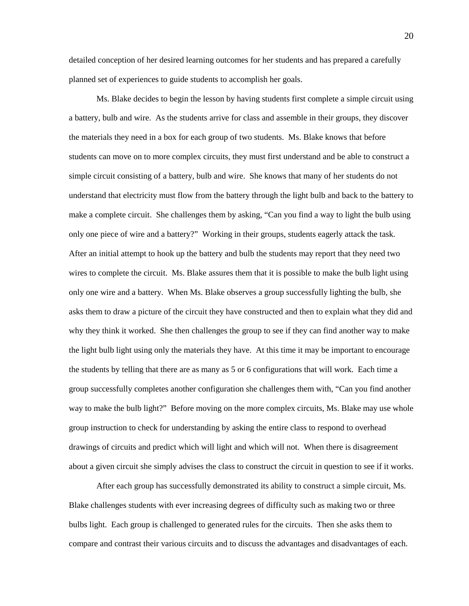detailed conception of her desired learning outcomes for her students and has prepared a carefully planned set of experiences to guide students to accomplish her goals.

 Ms. Blake decides to begin the lesson by having students first complete a simple circuit using a battery, bulb and wire. As the students arrive for class and assemble in their groups, they discover the materials they need in a box for each group of two students. Ms. Blake knows that before students can move on to more complex circuits, they must first understand and be able to construct a simple circuit consisting of a battery, bulb and wire. She knows that many of her students do not understand that electricity must flow from the battery through the light bulb and back to the battery to make a complete circuit. She challenges them by asking, "Can you find a way to light the bulb using only one piece of wire and a battery?" Working in their groups, students eagerly attack the task. After an initial attempt to hook up the battery and bulb the students may report that they need two wires to complete the circuit. Ms. Blake assures them that it is possible to make the bulb light using only one wire and a battery. When Ms. Blake observes a group successfully lighting the bulb, she asks them to draw a picture of the circuit they have constructed and then to explain what they did and why they think it worked. She then challenges the group to see if they can find another way to make the light bulb light using only the materials they have. At this time it may be important to encourage the students by telling that there are as many as 5 or 6 configurations that will work. Each time a group successfully completes another configuration she challenges them with, "Can you find another way to make the bulb light?" Before moving on the more complex circuits, Ms. Blake may use whole group instruction to check for understanding by asking the entire class to respond to overhead drawings of circuits and predict which will light and which will not. When there is disagreement about a given circuit she simply advises the class to construct the circuit in question to see if it works.

 After each group has successfully demonstrated its ability to construct a simple circuit, Ms. Blake challenges students with ever increasing degrees of difficulty such as making two or three bulbs light. Each group is challenged to generated rules for the circuits. Then she asks them to compare and contrast their various circuits and to discuss the advantages and disadvantages of each.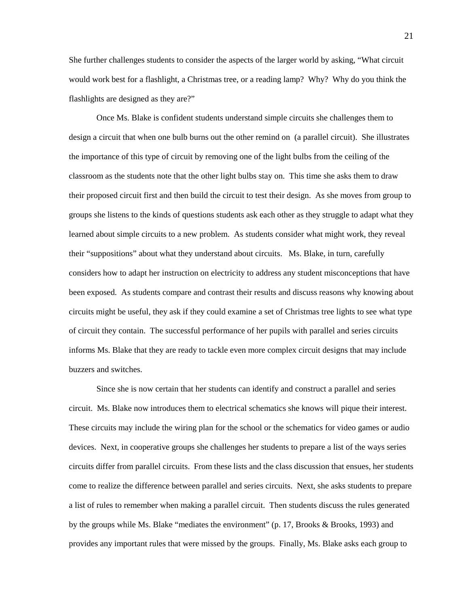She further challenges students to consider the aspects of the larger world by asking, "What circuit would work best for a flashlight, a Christmas tree, or a reading lamp? Why? Why do you think the flashlights are designed as they are?"

 Once Ms. Blake is confident students understand simple circuits she challenges them to design a circuit that when one bulb burns out the other remind on (a parallel circuit). She illustrates the importance of this type of circuit by removing one of the light bulbs from the ceiling of the classroom as the students note that the other light bulbs stay on. This time she asks them to draw their proposed circuit first and then build the circuit to test their design. As she moves from group to groups she listens to the kinds of questions students ask each other as they struggle to adapt what they learned about simple circuits to a new problem. As students consider what might work, they reveal their "suppositions" about what they understand about circuits. Ms. Blake, in turn, carefully considers how to adapt her instruction on electricity to address any student misconceptions that have been exposed. As students compare and contrast their results and discuss reasons why knowing about circuits might be useful, they ask if they could examine a set of Christmas tree lights to see what type of circuit they contain. The successful performance of her pupils with parallel and series circuits informs Ms. Blake that they are ready to tackle even more complex circuit designs that may include buzzers and switches.

 Since she is now certain that her students can identify and construct a parallel and series circuit. Ms. Blake now introduces them to electrical schematics she knows will pique their interest. These circuits may include the wiring plan for the school or the schematics for video games or audio devices. Next, in cooperative groups she challenges her students to prepare a list of the ways series circuits differ from parallel circuits. From these lists and the class discussion that ensues, her students come to realize the difference between parallel and series circuits. Next, she asks students to prepare a list of rules to remember when making a parallel circuit. Then students discuss the rules generated by the groups while Ms. Blake "mediates the environment" (p. 17, Brooks & Brooks, 1993) and provides any important rules that were missed by the groups. Finally, Ms. Blake asks each group to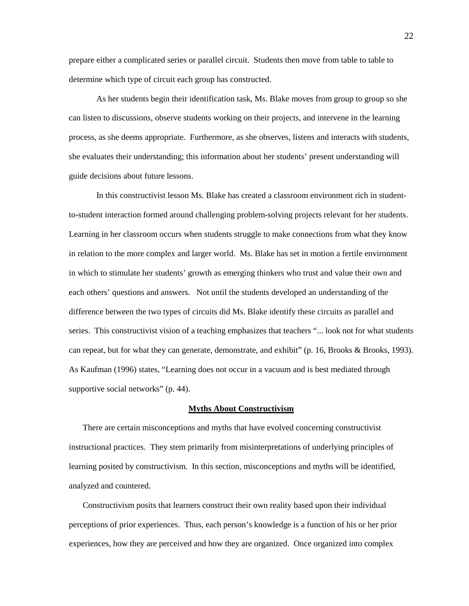prepare either a complicated series or parallel circuit. Students then move from table to table to determine which type of circuit each group has constructed.

 As her students begin their identification task, Ms. Blake moves from group to group so she can listen to discussions, observe students working on their projects, and intervene in the learning process, as she deems appropriate. Furthermore, as she observes, listens and interacts with students, she evaluates their understanding; this information about her students' present understanding will guide decisions about future lessons.

In this constructivist lesson Ms. Blake has created a classroom environment rich in studentto-student interaction formed around challenging problem-solving projects relevant for her students. Learning in her classroom occurs when students struggle to make connections from what they know in relation to the more complex and larger world. Ms. Blake has set in motion a fertile environment in which to stimulate her students' growth as emerging thinkers who trust and value their own and each others' questions and answers. Not until the students developed an understanding of the difference between the two types of circuits did Ms. Blake identify these circuits as parallel and series. This constructivist vision of a teaching emphasizes that teachers "... look not for what students can repeat, but for what they can generate, demonstrate, and exhibit" (p. 16, Brooks & Brooks, 1993). As Kaufman (1996) states, "Learning does not occur in a vacuum and is best mediated through supportive social networks" (p. 44).

### **Myths About Constructivism**

There are certain misconceptions and myths that have evolved concerning constructivist instructional practices. They stem primarily from misinterpretations of underlying principles of learning posited by constructivism. In this section, misconceptions and myths will be identified, analyzed and countered.

Constructivism posits that learners construct their own reality based upon their individual perceptions of prior experiences. Thus, each person's knowledge is a function of his or her prior experiences, how they are perceived and how they are organized. Once organized into complex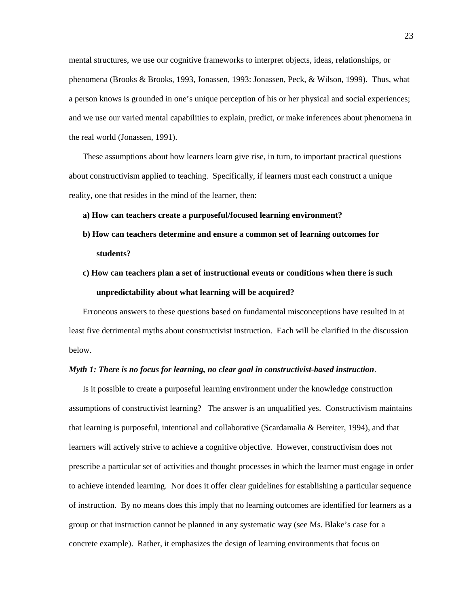mental structures, we use our cognitive frameworks to interpret objects, ideas, relationships, or phenomena (Brooks & Brooks, 1993, Jonassen, 1993: Jonassen, Peck, & Wilson, 1999). Thus, what a person knows is grounded in one's unique perception of his or her physical and social experiences; and we use our varied mental capabilities to explain, predict, or make inferences about phenomena in the real world (Jonassen, 1991).

These assumptions about how learners learn give rise, in turn, to important practical questions about constructivism applied to teaching. Specifically, if learners must each construct a unique reality, one that resides in the mind of the learner, then:

- **a) How can teachers create a purposeful/focused learning environment?**
- **b) How can teachers determine and ensure a common set of learning outcomes for students?**
- **c) How can teachers plan a set of instructional events or conditions when there is such unpredictability about what learning will be acquired?**

Erroneous answers to these questions based on fundamental misconceptions have resulted in at least five detrimental myths about constructivist instruction. Each will be clarified in the discussion below.

## *Myth 1: There is no focus for learning, no clear goal in constructivist-based instruction*.

Is it possible to create a purposeful learning environment under the knowledge construction assumptions of constructivist learning? The answer is an unqualified yes. Constructivism maintains that learning is purposeful, intentional and collaborative (Scardamalia & Bereiter, 1994), and that learners will actively strive to achieve a cognitive objective. However, constructivism does not prescribe a particular set of activities and thought processes in which the learner must engage in order to achieve intended learning. Nor does it offer clear guidelines for establishing a particular sequence of instruction. By no means does this imply that no learning outcomes are identified for learners as a group or that instruction cannot be planned in any systematic way (see Ms. Blake's case for a concrete example). Rather, it emphasizes the design of learning environments that focus on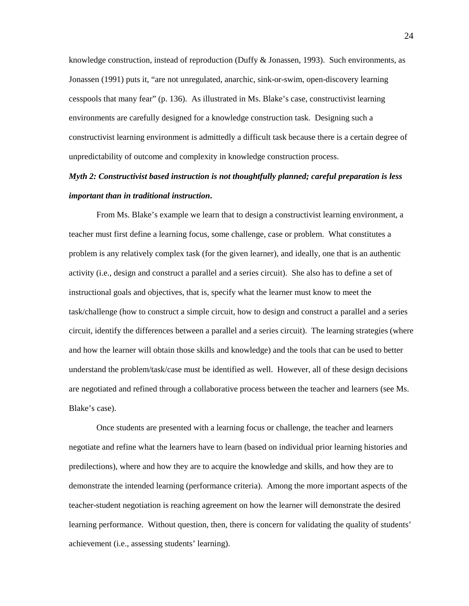knowledge construction, instead of reproduction (Duffy  $&$  Jonassen, 1993). Such environments, as Jonassen (1991) puts it, "are not unregulated, anarchic, sink-or-swim, open-discovery learning cesspools that many fear" (p. 136). As illustrated in Ms. Blake's case, constructivist learning environments are carefully designed for a knowledge construction task. Designing such a constructivist learning environment is admittedly a difficult task because there is a certain degree of unpredictability of outcome and complexity in knowledge construction process.

# *Myth 2: Constructivist based instruction is not thoughtfully planned; careful preparation is less important than in traditional instruction***.**

From Ms. Blake's example we learn that to design a constructivist learning environment, a teacher must first define a learning focus, some challenge, case or problem. What constitutes a problem is any relatively complex task (for the given learner), and ideally, one that is an authentic activity (i.e., design and construct a parallel and a series circuit). She also has to define a set of instructional goals and objectives, that is, specify what the learner must know to meet the task/challenge (how to construct a simple circuit, how to design and construct a parallel and a series circuit, identify the differences between a parallel and a series circuit). The learning strategies (where and how the learner will obtain those skills and knowledge) and the tools that can be used to better understand the problem/task/case must be identified as well. However, all of these design decisions are negotiated and refined through a collaborative process between the teacher and learners (see Ms. Blake's case).

 Once students are presented with a learning focus or challenge, the teacher and learners negotiate and refine what the learners have to learn (based on individual prior learning histories and predilections), where and how they are to acquire the knowledge and skills, and how they are to demonstrate the intended learning (performance criteria). Among the more important aspects of the teacher-student negotiation is reaching agreement on how the learner will demonstrate the desired learning performance. Without question, then, there is concern for validating the quality of students' achievement (i.e., assessing students' learning).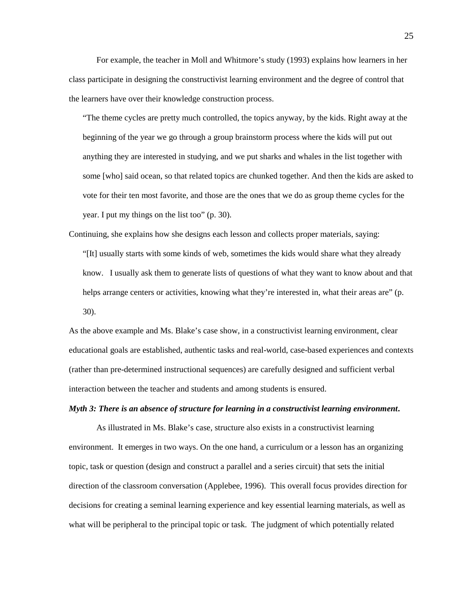For example, the teacher in Moll and Whitmore's study (1993) explains how learners in her class participate in designing the constructivist learning environment and the degree of control that the learners have over their knowledge construction process.

"The theme cycles are pretty much controlled, the topics anyway, by the kids. Right away at the beginning of the year we go through a group brainstorm process where the kids will put out anything they are interested in studying, and we put sharks and whales in the list together with some [who] said ocean, so that related topics are chunked together. And then the kids are asked to vote for their ten most favorite, and those are the ones that we do as group theme cycles for the year. I put my things on the list too" (p. 30).

Continuing, she explains how she designs each lesson and collects proper materials, saying: "[It] usually starts with some kinds of web, sometimes the kids would share what they already know. I usually ask them to generate lists of questions of what they want to know about and that helps arrange centers or activities, knowing what they're interested in, what their areas are" (p. 30).

As the above example and Ms. Blake's case show, in a constructivist learning environment, clear educational goals are established, authentic tasks and real-world, case-based experiences and contexts (rather than pre-determined instructional sequences) are carefully designed and sufficient verbal interaction between the teacher and students and among students is ensured.

## *Myth 3: There is an absence of structure for learning in a constructivist learning environment***.**

As illustrated in Ms. Blake's case, structure also exists in a constructivist learning environment. It emerges in two ways. On the one hand, a curriculum or a lesson has an organizing topic, task or question (design and construct a parallel and a series circuit) that sets the initial direction of the classroom conversation (Applebee, 1996). This overall focus provides direction for decisions for creating a seminal learning experience and key essential learning materials, as well as what will be peripheral to the principal topic or task. The judgment of which potentially related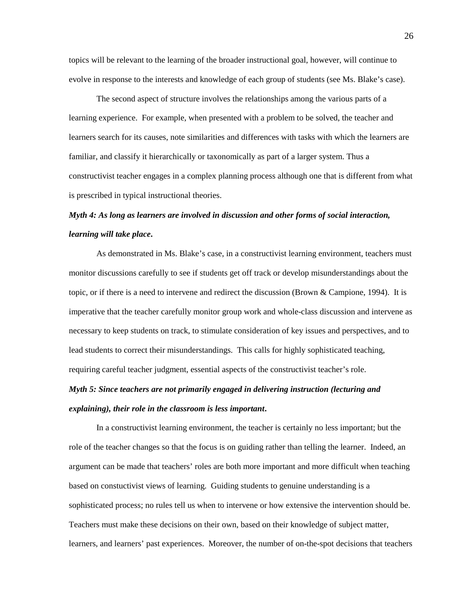topics will be relevant to the learning of the broader instructional goal, however, will continue to evolve in response to the interests and knowledge of each group of students (see Ms. Blake's case).

 The second aspect of structure involves the relationships among the various parts of a learning experience. For example, when presented with a problem to be solved, the teacher and learners search for its causes, note similarities and differences with tasks with which the learners are familiar, and classify it hierarchically or taxonomically as part of a larger system. Thus a constructivist teacher engages in a complex planning process although one that is different from what is prescribed in typical instructional theories.

## *Myth 4: As long as learners are involved in discussion and other forms of social interaction, learning will take place***.**

As demonstrated in Ms. Blake's case, in a constructivist learning environment, teachers must monitor discussions carefully to see if students get off track or develop misunderstandings about the topic, or if there is a need to intervene and redirect the discussion (Brown & Campione, 1994). It is imperative that the teacher carefully monitor group work and whole-class discussion and intervene as necessary to keep students on track, to stimulate consideration of key issues and perspectives, and to lead students to correct their misunderstandings. This calls for highly sophisticated teaching, requiring careful teacher judgment, essential aspects of the constructivist teacher's role.

# *Myth 5: Since teachers are not primarily engaged in delivering instruction (lecturing and explaining), their role in the classroom is less important***.**

In a constructivist learning environment, the teacher is certainly no less important; but the role of the teacher changes so that the focus is on guiding rather than telling the learner. Indeed, an argument can be made that teachers' roles are both more important and more difficult when teaching based on constuctivist views of learning. Guiding students to genuine understanding is a sophisticated process; no rules tell us when to intervene or how extensive the intervention should be. Teachers must make these decisions on their own, based on their knowledge of subject matter, learners, and learners' past experiences. Moreover, the number of on-the-spot decisions that teachers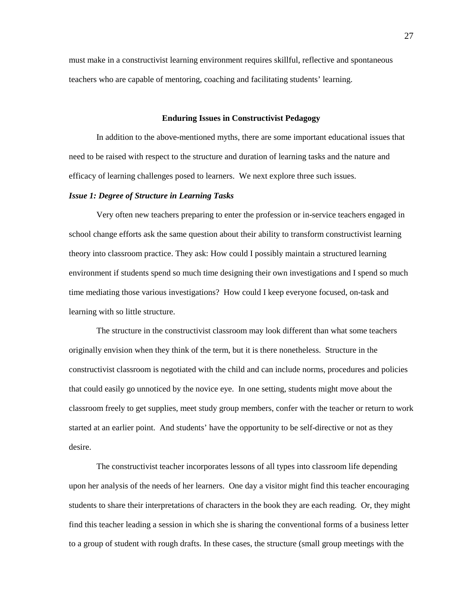must make in a constructivist learning environment requires skillful, reflective and spontaneous teachers who are capable of mentoring, coaching and facilitating students' learning.

### **Enduring Issues in Constructivist Pedagogy**

 In addition to the above-mentioned myths, there are some important educational issues that need to be raised with respect to the structure and duration of learning tasks and the nature and efficacy of learning challenges posed to learners. We next explore three such issues.

### *Issue 1: Degree of Structure in Learning Tasks*

 Very often new teachers preparing to enter the profession or in-service teachers engaged in school change efforts ask the same question about their ability to transform constructivist learning theory into classroom practice. They ask: How could I possibly maintain a structured learning environment if students spend so much time designing their own investigations and I spend so much time mediating those various investigations? How could I keep everyone focused, on-task and learning with so little structure.

 The structure in the constructivist classroom may look different than what some teachers originally envision when they think of the term, but it is there nonetheless. Structure in the constructivist classroom is negotiated with the child and can include norms, procedures and policies that could easily go unnoticed by the novice eye. In one setting, students might move about the classroom freely to get supplies, meet study group members, confer with the teacher or return to work started at an earlier point. And students' have the opportunity to be self-directive or not as they desire.

 The constructivist teacher incorporates lessons of all types into classroom life depending upon her analysis of the needs of her learners. One day a visitor might find this teacher encouraging students to share their interpretations of characters in the book they are each reading. Or, they might find this teacher leading a session in which she is sharing the conventional forms of a business letter to a group of student with rough drafts. In these cases, the structure (small group meetings with the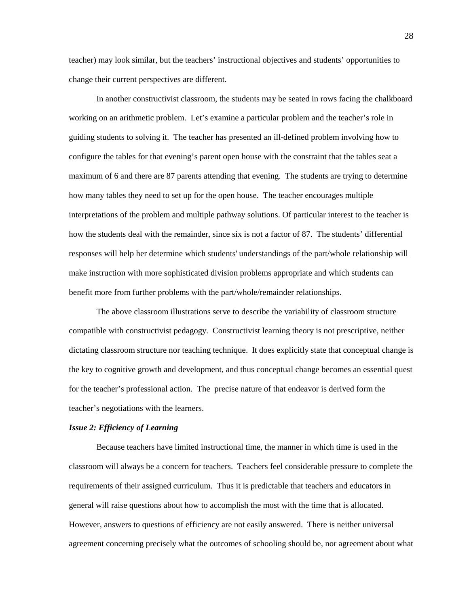teacher) may look similar, but the teachers' instructional objectives and students' opportunities to change their current perspectives are different.

 In another constructivist classroom, the students may be seated in rows facing the chalkboard working on an arithmetic problem. Let's examine a particular problem and the teacher's role in guiding students to solving it. The teacher has presented an ill-defined problem involving how to configure the tables for that evening's parent open house with the constraint that the tables seat a maximum of 6 and there are 87 parents attending that evening. The students are trying to determine how many tables they need to set up for the open house. The teacher encourages multiple interpretations of the problem and multiple pathway solutions. Of particular interest to the teacher is how the students deal with the remainder, since six is not a factor of 87. The students' differential responses will help her determine which students' understandings of the part/whole relationship will make instruction with more sophisticated division problems appropriate and which students can benefit more from further problems with the part/whole/remainder relationships.

 The above classroom illustrations serve to describe the variability of classroom structure compatible with constructivist pedagogy. Constructivist learning theory is not prescriptive, neither dictating classroom structure nor teaching technique. It does explicitly state that conceptual change is the key to cognitive growth and development, and thus conceptual change becomes an essential quest for the teacher's professional action. The precise nature of that endeavor is derived form the teacher's negotiations with the learners.

### *Issue 2: Efficiency of Learning*

Because teachers have limited instructional time, the manner in which time is used in the classroom will always be a concern for teachers. Teachers feel considerable pressure to complete the requirements of their assigned curriculum. Thus it is predictable that teachers and educators in general will raise questions about how to accomplish the most with the time that is allocated. However, answers to questions of efficiency are not easily answered. There is neither universal agreement concerning precisely what the outcomes of schooling should be, nor agreement about what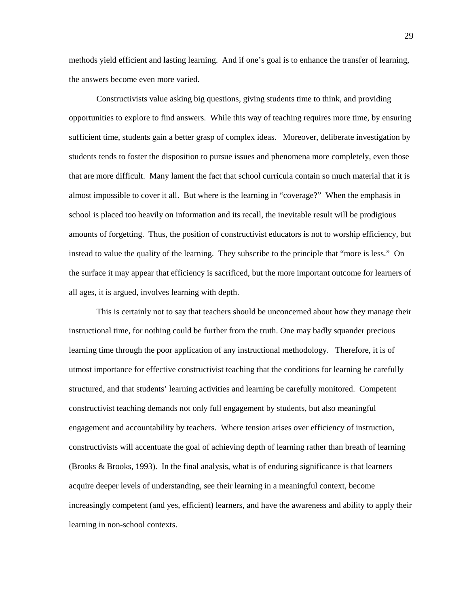methods yield efficient and lasting learning. And if one's goal is to enhance the transfer of learning, the answers become even more varied.

Constructivists value asking big questions, giving students time to think, and providing opportunities to explore to find answers. While this way of teaching requires more time, by ensuring sufficient time, students gain a better grasp of complex ideas. Moreover, deliberate investigation by students tends to foster the disposition to pursue issues and phenomena more completely, even those that are more difficult. Many lament the fact that school curricula contain so much material that it is almost impossible to cover it all. But where is the learning in "coverage?" When the emphasis in school is placed too heavily on information and its recall, the inevitable result will be prodigious amounts of forgetting. Thus, the position of constructivist educators is not to worship efficiency, but instead to value the quality of the learning. They subscribe to the principle that "more is less." On the surface it may appear that efficiency is sacrificed, but the more important outcome for learners of all ages, it is argued, involves learning with depth.

This is certainly not to say that teachers should be unconcerned about how they manage their instructional time, for nothing could be further from the truth. One may badly squander precious learning time through the poor application of any instructional methodology. Therefore, it is of utmost importance for effective constructivist teaching that the conditions for learning be carefully structured, and that students' learning activities and learning be carefully monitored. Competent constructivist teaching demands not only full engagement by students, but also meaningful engagement and accountability by teachers. Where tension arises over efficiency of instruction, constructivists will accentuate the goal of achieving depth of learning rather than breath of learning (Brooks & Brooks, 1993). In the final analysis, what is of enduring significance is that learners acquire deeper levels of understanding, see their learning in a meaningful context, become increasingly competent (and yes, efficient) learners, and have the awareness and ability to apply their learning in non-school contexts.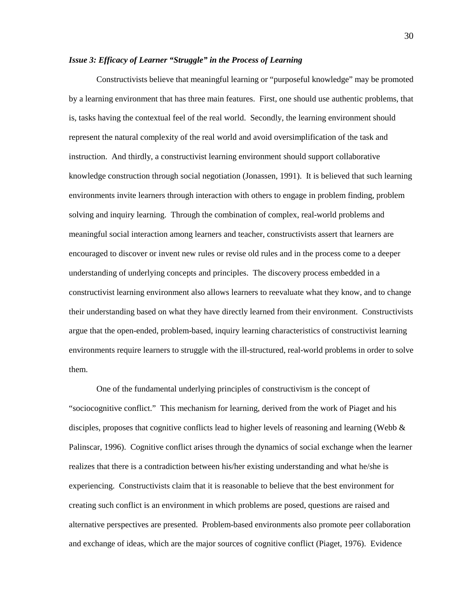## *Issue 3: Efficacy of Learner "Struggle" in the Process of Learning*

 Constructivists believe that meaningful learning or "purposeful knowledge" may be promoted by a learning environment that has three main features. First, one should use authentic problems, that is, tasks having the contextual feel of the real world. Secondly, the learning environment should represent the natural complexity of the real world and avoid oversimplification of the task and instruction. And thirdly, a constructivist learning environment should support collaborative knowledge construction through social negotiation (Jonassen, 1991). It is believed that such learning environments invite learners through interaction with others to engage in problem finding, problem solving and inquiry learning. Through the combination of complex, real-world problems and meaningful social interaction among learners and teacher, constructivists assert that learners are encouraged to discover or invent new rules or revise old rules and in the process come to a deeper understanding of underlying concepts and principles. The discovery process embedded in a constructivist learning environment also allows learners to reevaluate what they know, and to change their understanding based on what they have directly learned from their environment. Constructivists argue that the open-ended, problem-based, inquiry learning characteristics of constructivist learning environments require learners to struggle with the ill-structured, real-world problems in order to solve them.

 One of the fundamental underlying principles of constructivism is the concept of "sociocognitive conflict." This mechanism for learning, derived from the work of Piaget and his disciples, proposes that cognitive conflicts lead to higher levels of reasoning and learning (Webb  $\&$ Palinscar, 1996). Cognitive conflict arises through the dynamics of social exchange when the learner realizes that there is a contradiction between his/her existing understanding and what he/she is experiencing. Constructivists claim that it is reasonable to believe that the best environment for creating such conflict is an environment in which problems are posed, questions are raised and alternative perspectives are presented. Problem-based environments also promote peer collaboration and exchange of ideas, which are the major sources of cognitive conflict (Piaget, 1976). Evidence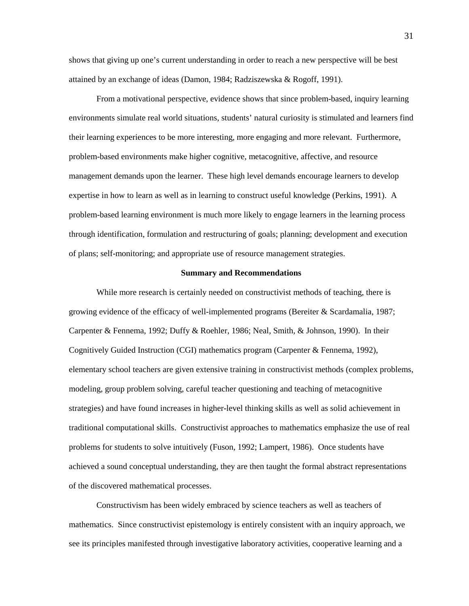shows that giving up one's current understanding in order to reach a new perspective will be best attained by an exchange of ideas (Damon, 1984; Radziszewska & Rogoff, 1991).

 From a motivational perspective, evidence shows that since problem-based, inquiry learning environments simulate real world situations, students' natural curiosity is stimulated and learners find their learning experiences to be more interesting, more engaging and more relevant. Furthermore, problem-based environments make higher cognitive, metacognitive, affective, and resource management demands upon the learner. These high level demands encourage learners to develop expertise in how to learn as well as in learning to construct useful knowledge (Perkins, 1991). A problem-based learning environment is much more likely to engage learners in the learning process through identification, formulation and restructuring of goals; planning; development and execution of plans; self-monitoring; and appropriate use of resource management strategies.

## **Summary and Recommendations**

 While more research is certainly needed on constructivist methods of teaching, there is growing evidence of the efficacy of well-implemented programs (Bereiter & Scardamalia, 1987; Carpenter & Fennema, 1992; Duffy & Roehler, 1986; Neal, Smith, & Johnson, 1990). In their Cognitively Guided Instruction (CGI) mathematics program (Carpenter & Fennema, 1992), elementary school teachers are given extensive training in constructivist methods (complex problems, modeling, group problem solving, careful teacher questioning and teaching of metacognitive strategies) and have found increases in higher-level thinking skills as well as solid achievement in traditional computational skills. Constructivist approaches to mathematics emphasize the use of real problems for students to solve intuitively (Fuson, 1992; Lampert, 1986). Once students have achieved a sound conceptual understanding, they are then taught the formal abstract representations of the discovered mathematical processes.

 Constructivism has been widely embraced by science teachers as well as teachers of mathematics. Since constructivist epistemology is entirely consistent with an inquiry approach, we see its principles manifested through investigative laboratory activities, cooperative learning and a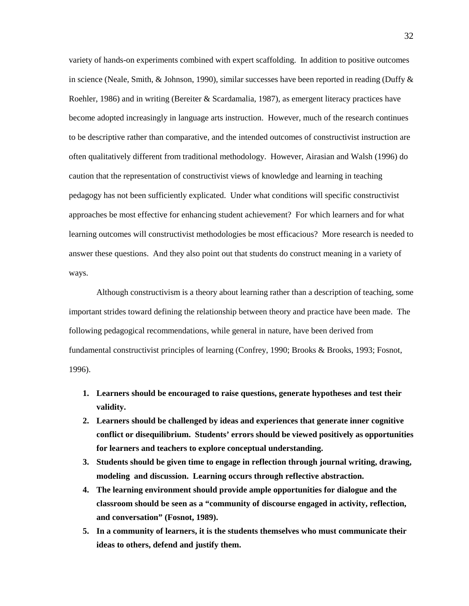variety of hands-on experiments combined with expert scaffolding. In addition to positive outcomes in science (Neale, Smith, & Johnson, 1990), similar successes have been reported in reading (Duffy  $\&$ Roehler, 1986) and in writing (Bereiter & Scardamalia, 1987), as emergent literacy practices have become adopted increasingly in language arts instruction. However, much of the research continues to be descriptive rather than comparative, and the intended outcomes of constructivist instruction are often qualitatively different from traditional methodology. However, Airasian and Walsh (1996) do caution that the representation of constructivist views of knowledge and learning in teaching pedagogy has not been sufficiently explicated. Under what conditions will specific constructivist approaches be most effective for enhancing student achievement? For which learners and for what learning outcomes will constructivist methodologies be most efficacious? More research is needed to answer these questions. And they also point out that students do construct meaning in a variety of ways.

 Although constructivism is a theory about learning rather than a description of teaching, some important strides toward defining the relationship between theory and practice have been made. The following pedagogical recommendations, while general in nature, have been derived from fundamental constructivist principles of learning (Confrey, 1990; Brooks & Brooks, 1993; Fosnot, 1996).

- **1. Learners should be encouraged to raise questions, generate hypotheses and test their validity.**
- **2. Learners should be challenged by ideas and experiences that generate inner cognitive conflict or disequilibrium. Students' errors should be viewed positively as opportunities for learners and teachers to explore conceptual understanding.**
- **3. Students should be given time to engage in reflection through journal writing, drawing, modeling and discussion. Learning occurs through reflective abstraction.**
- **4. The learning environment should provide ample opportunities for dialogue and the classroom should be seen as a "community of discourse engaged in activity, reflection, and conversation" (Fosnot, 1989).**
- **5. In a community of learners, it is the students themselves who must communicate their ideas to others, defend and justify them.**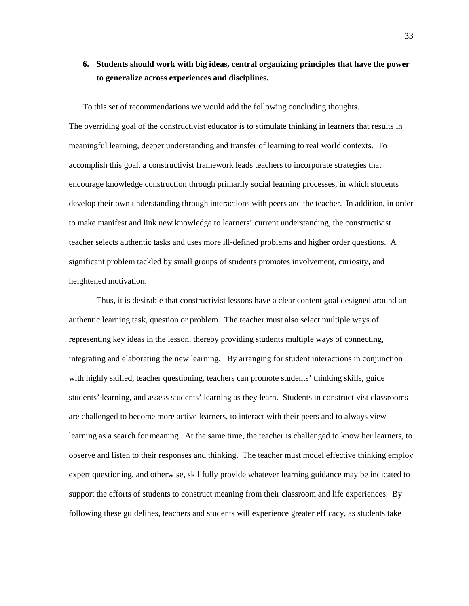## **6. Students should work with big ideas, central organizing principles that have the power to generalize across experiences and disciplines.**

To this set of recommendations we would add the following concluding thoughts. The overriding goal of the constructivist educator is to stimulate thinking in learners that results in meaningful learning, deeper understanding and transfer of learning to real world contexts. To accomplish this goal, a constructivist framework leads teachers to incorporate strategies that encourage knowledge construction through primarily social learning processes, in which students develop their own understanding through interactions with peers and the teacher. In addition, in order to make manifest and link new knowledge to learners' current understanding, the constructivist teacher selects authentic tasks and uses more ill-defined problems and higher order questions. A significant problem tackled by small groups of students promotes involvement, curiosity, and heightened motivation.

 Thus, it is desirable that constructivist lessons have a clear content goal designed around an authentic learning task, question or problem. The teacher must also select multiple ways of representing key ideas in the lesson, thereby providing students multiple ways of connecting, integrating and elaborating the new learning. By arranging for student interactions in conjunction with highly skilled, teacher questioning, teachers can promote students' thinking skills, guide students' learning, and assess students' learning as they learn. Students in constructivist classrooms are challenged to become more active learners, to interact with their peers and to always view learning as a search for meaning. At the same time, the teacher is challenged to know her learners, to observe and listen to their responses and thinking. The teacher must model effective thinking employ expert questioning, and otherwise, skillfully provide whatever learning guidance may be indicated to support the efforts of students to construct meaning from their classroom and life experiences. By following these guidelines, teachers and students will experience greater efficacy, as students take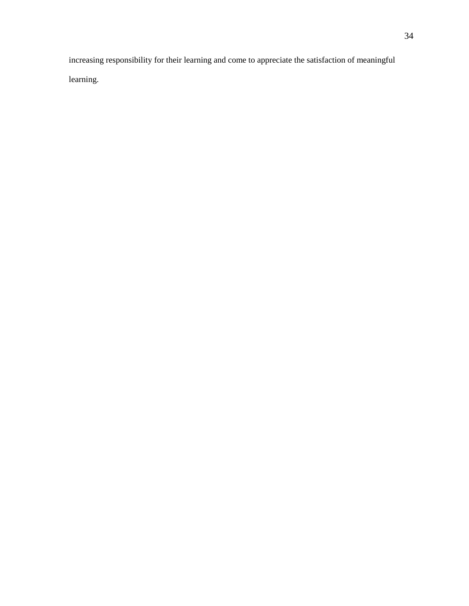increasing responsibility for their learning and come to appreciate the satisfaction of meaningful learning.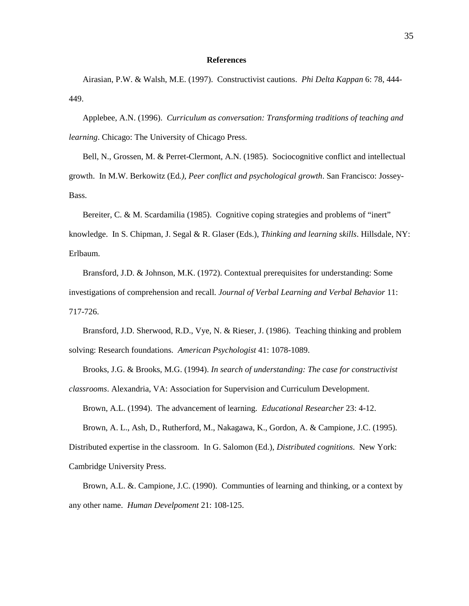#### **References**

Airasian, P.W. & Walsh, M.E. (1997). Constructivist cautions. *Phi Delta Kappan* 6: 78, 444- 449.

Applebee, A.N. (1996). *Curriculum as conversation: Transforming traditions of teaching and learning*. Chicago: The University of Chicago Press.

Bell, N., Grossen, M. & Perret-Clermont, A.N. (1985). Sociocognitive conflict and intellectual growth. In M.W. Berkowitz (Ed*.), Peer conflict and psychological growth*. San Francisco: Jossey-Bass.

Bereiter, C. & M. Scardamilia (1985). Cognitive coping strategies and problems of "inert" knowledge. In S. Chipman, J. Segal & R. Glaser (Eds.), *Thinking and learning skills*. Hillsdale, NY: Erlbaum.

Bransford, J.D. & Johnson, M.K. (1972). Contextual prerequisites for understanding: Some investigations of comprehension and recall*. Journal of Verbal Learning and Verbal Behavior* 11: 717-726.

Bransford, J.D. Sherwood, R.D., Vye, N. & Rieser, J. (1986). Teaching thinking and problem solving: Research foundations*. American Psychologist* 41: 1078-1089.

Brooks, J.G. & Brooks, M.G. (1994). *In search of understanding: The case for constructivist classrooms*. Alexandria, VA: Association for Supervision and Curriculum Development. Brown, A.L. (1994). The advancement of learning. *Educational Researcher* 23: 4-12.

Brown, A. L., Ash, D., Rutherford, M., Nakagawa, K., Gordon, A. & Campione, J.C. (1995). Distributed expertise in the classroom. In G. Salomon (Ed.), *Distributed cognitions*. New York:

Cambridge University Press.

Brown, A.L. &. Campione, J.C. (1990). Communties of learning and thinking, or a context by any other name. *Human Develpoment* 21: 108-125.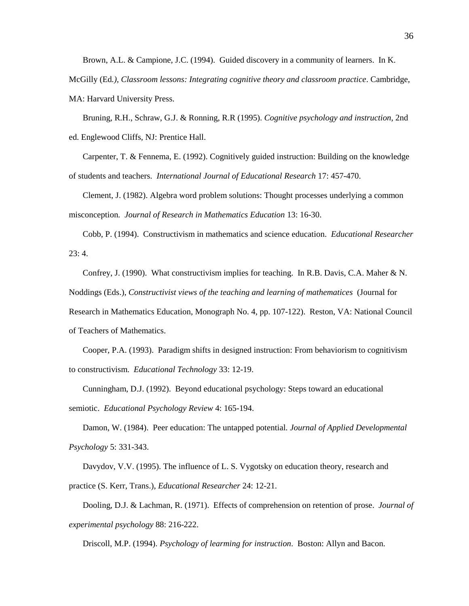Brown, A.L. & Campione, J.C. (1994). Guided discovery in a community of learners. In K. McGilly (Ed*.), Classroom lessons: Integrating cognitive theory and classroom practice*. Cambridge, MA: Harvard University Press.

Bruning, R.H., Schraw, G.J. & Ronning, R.R (1995). *Cognitive psychology and instruction*, 2nd ed. Englewood Cliffs, NJ: Prentice Hall.

Carpenter, T. & Fennema, E. (1992). Cognitively guided instruction: Building on the knowledge of students and teachers. *International Journal of Educational Research* 17: 457-470.

Clement, J. (1982). Algebra word problem solutions: Thought processes underlying a common misconception*. Journal of Research in Mathematics Education* 13: 16-30.

Cobb, P. (1994). Constructivism in mathematics and science education. *Educational Researcher* 23: 4.

Confrey, J. (1990). What constructivism implies for teaching.In R.B. Davis, C.A. Maher & N. Noddings (Eds.), *Constructivist views of the teaching and learning of mathematices* (Journal for Research in Mathematics Education, Monograph No. 4, pp. 107-122). Reston, VA: National Council of Teachers of Mathematics.

Cooper, P.A. (1993). Paradigm shifts in designed instruction: From behaviorism to cognitivism to constructivism. *Educational Technology* 33: 12-19.

Cunningham, D.J. (1992). Beyond educational psychology: Steps toward an educational semiotic. *Educational Psychology Review* 4: 165-194.

Damon, W. (1984). Peer education: The untapped potential*. Journal of Applied Developmental Psychology* 5: 331-343.

Davydov, V.V. (1995). The influence of L. S. Vygotsky on education theory, research and practice (S. Kerr, Trans.), *Educational Researcher* 24: 12-21.

Dooling, D.J. & Lachman, R. (1971). Effects of comprehension on retention of prose. *Journal of experimental psychology* 88: 216-222.

Driscoll, M.P. (1994). *Psychology of learming for instruction*. Boston: Allyn and Bacon.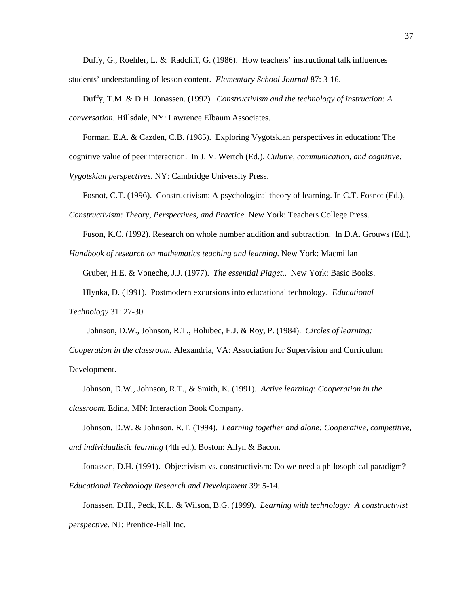Duffy, G., Roehler, L. & Radcliff, G. (1986). How teachers' instructional talk influences students' understanding of lesson content. *Elementary School Journal* 87: 3-16.

Duffy, T.M. & D.H. Jonassen. (1992)*. Constructivism and the technology of instruction: A conversation*. Hillsdale, NY: Lawrence Elbaum Associates.

Forman, E.A. & Cazden, C.B. (1985). Exploring Vygotskian perspectives in education: The cognitive value of peer interaction. In J. V. Wertch (Ed.), *Culutre, communication, and cognitive: Vygotskian perspectives*. NY: Cambridge University Press.

Fosnot, C.T. (1996). Constructivism: A psychological theory of learning. In C.T. Fosnot (Ed.),

*Constructivism: Theory, Perspectives, and Practice*. New York: Teachers College Press.

Fuson, K.C. (1992). Research on whole number addition and subtraction. In D.A. Grouws (Ed.),

*Handbook of research on mathematics teaching and learning*. New York: Macmillan

Gruber, H.E. & Voneche, J.J. (1977). *The essential Piaget*.. New York: Basic Books.

Hlynka, D. (1991). Postmodern excursions into educational technology. *Educational* 

*Technology* 31: 27-30.

Johnson, D.W., Johnson, R.T., Holubec, E.J. & Roy, P. (1984). *Circles of learning:* 

*Cooperation in the classroom.* Alexandria*,* VA: Association for Supervision and Curriculum Development.

Johnson, D.W., Johnson, R.T., & Smith, K. (1991). *Active learning: Cooperation in the classroom*. Edina, MN: Interaction Book Company.

Johnson, D.W. & Johnson, R.T. (1994). *Learning together and alone: Cooperative, competitive, and individualistic learning* (4th ed.). Boston: Allyn & Bacon.

Jonassen, D.H. (1991). Objectivism vs. constructivism: Do we need a philosophical paradigm? *Educational Technology Research and Development* 39: 5-14.

Jonassen, D.H., Peck, K.L. & Wilson, B.G. (1999). *Learning with technology: A constructivist perspective.* NJ: Prentice-Hall Inc.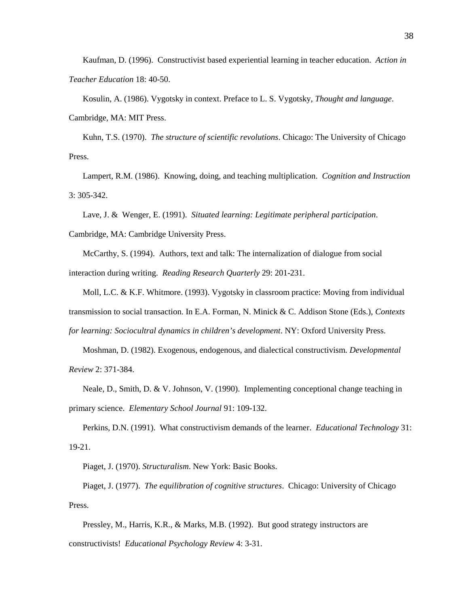Kaufman, D. (1996). Constructivist based experiential learning in teacher education. *Action in Teacher Education* 18: 40-50.

Kosulin, A. (1986). Vygotsky in context. Preface to L. S. Vygotsky, *Thought and language*. Cambridge, MA: MIT Press.

Kuhn, T.S. (1970). *The structure of scientific revolutions*. Chicago: The University of Chicago Press.

Lampert, R.M. (1986). Knowing, doing, and teaching multiplication.*Cognition and Instruction* 3: 305-342.

Lave, J. & Wenger, E. (1991). *Situated learning: Legitimate peripheral participation*.

Cambridge, MA: Cambridge University Press.

McCarthy, S. (1994). Authors, text and talk: The internalization of dialogue from social interaction during writing. *Reading Research Quarterly* 29: 201-231.

Moll, L.C. & K.F. Whitmore. (1993). Vygotsky in classroom practice: Moving from individual transmission to social transaction. In E.A. Forman, N. Minick & C. Addison Stone (Eds.), *Contexts for learning: Sociocultral dynamics in children's development*. NY: Oxford University Press.

Moshman, D. (1982). Exogenous, endogenous, and dialectical constructivism. *Developmental Review* 2: 371-384.

Neale, D., Smith, D. & V. Johnson, V. (1990). Implementing conceptional change teaching in primary science. *Elementary School Journal* 91: 109-132.

Perkins, D.N. (1991). What constructivism demands of the learner. *Educational Technology* 31: 19-21.

Piaget, J. (1970). *Structuralism*. New York: Basic Books.

Piaget, J. (1977). *The equilibration of cognitive structures*. Chicago: University of Chicago Press.

Pressley, M., Harris, K.R., & Marks, M.B. (1992). But good strategy instructors are constructivists! *Educational Psychology Review* 4: 3-31.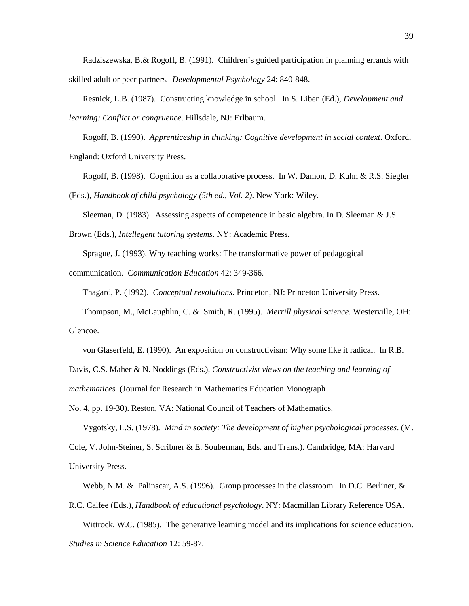Radziszewska, B.& Rogoff, B. (1991). Children's guided participation in planning errands with skilled adult or peer partners*. Developmental Psychology* 24: 840-848.

Resnick, L.B. (1987). Constructing knowledge in school. In S. Liben (Ed.), *Development and learning: Conflict or congruence*. Hillsdale, NJ: Erlbaum.

Rogoff, B. (1990). *Apprenticeship in thinking: Cognitive development in social context*. Oxford, England: Oxford University Press.

Rogoff, B. (1998). Cognition as a collaborative process. In W. Damon, D. Kuhn & R.S. Siegler (Eds.), *Handbook of child psychology (5th ed., Vol. 2)*. New York: Wiley.

Sleeman, D. (1983). Assessing aspects of competence in basic algebra. In D. Sleeman & J.S.

Brown (Eds.), *Intellegent tutoring systems*. NY: Academic Press.

Sprague, J. (1993). Why teaching works: The transformative power of pedagogical

communication. *Communication Education* 42: 349-366.

Thagard, P. (1992). *Conceptual revolutions*. Princeton, NJ: Princeton University Press.

Thompson, M., McLaughlin, C. & Smith, R. (1995). *Merrill physical science*. Westerville, OH: Glencoe.

von Glaserfeld, E. (1990). An exposition on constructivism: Why some like it radical. In R.B.

Davis, C.S. Maher & N. Noddings (Eds.), *Constructivist views on the teaching and learning of* 

*mathematices* (Journal for Research in Mathematics Education Monograph

No. 4, pp. 19-30). Reston, VA: National Council of Teachers of Mathematics.

Vygotsky, L.S. (1978)*. Mind in society: The development of higher psychological processes*. (M. Cole, V. John-Steiner, S. Scribner & E. Souberman, Eds. and Trans.). Cambridge, MA: Harvard University Press.

Webb, N.M. & Palinscar, A.S. (1996). Group processes in the classroom. In D.C. Berliner, &

R.C. Calfee (Eds.), *Handbook of educational psychology*. NY: Macmillan Library Reference USA.

Wittrock, W.C. (1985). The generative learning model and its implications for science education. *Studies in Science Education* 12: 59-87.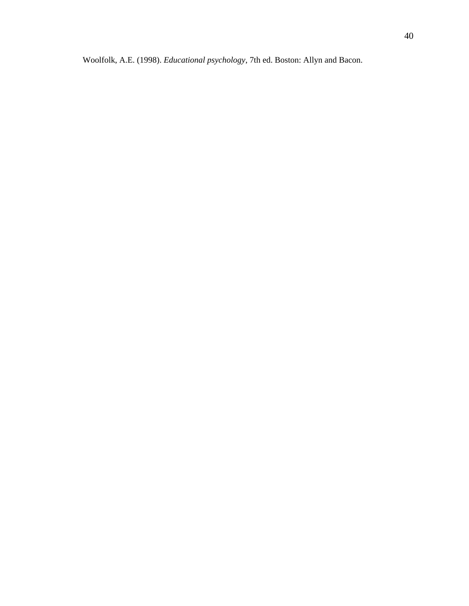Woolfolk, A.E. (1998). *Educational psychology*, 7th ed. Boston: Allyn and Bacon.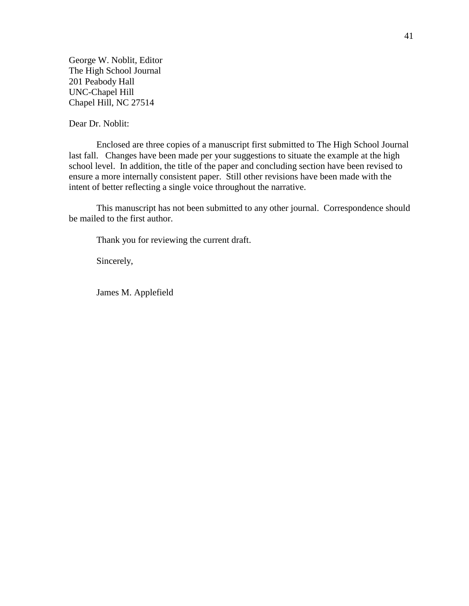George W. Noblit, Editor The High School Journal 201 Peabody Hall UNC-Chapel Hill Chapel Hill, NC 27514

Dear Dr. Noblit:

Enclosed are three copies of a manuscript first submitted to The High School Journal last fall. Changes have been made per your suggestions to situate the example at the high school level. In addition, the title of the paper and concluding section have been revised to ensure a more internally consistent paper. Still other revisions have been made with the intent of better reflecting a single voice throughout the narrative.

This manuscript has not been submitted to any other journal. Correspondence should be mailed to the first author.

Thank you for reviewing the current draft.

Sincerely,

James M. Applefield